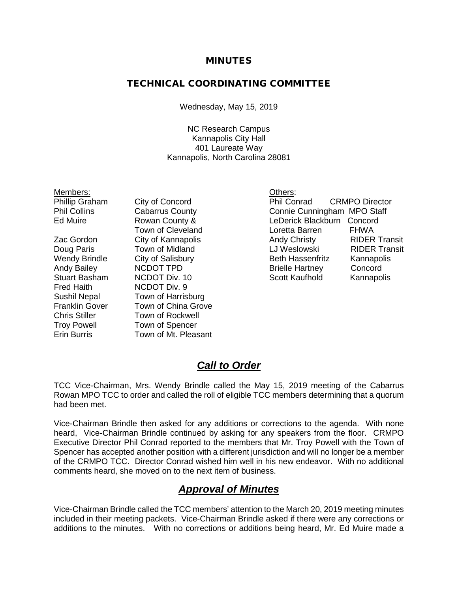#### MINUTES

### TECHNICAL COORDINATING COMMITTEE

Wednesday, May 15, 2019

NC Research Campus Kannapolis City Hall 401 Laureate Way Kannapolis, North Carolina 28081

|                        | Others: |
|------------------------|---------|
| City of Concord        | Phil Co |
| <b>Cabarrus County</b> | Connie  |
| Rowan County &         | LeDeric |
|                        |         |

Fred Haith NCDOT Div. 9

Sushil Nepal Town of Harrisburg Franklin Gover Town of China Grove Chris Stiller Town of Rockwell Troy Powell Town of Spencer Erin Burris Town of Mt. Pleasant

City of Concord<br>
Cabarrus County<br>
Connie Cunningham MPO Staff Cabarrus County<br>
Rowan County & The Derick Blackburn Concord<br>
LeDerick Blackburn Concord LeDerick Blackburn Concord Town of Cleveland **Loretta Barren** FHWA Zac Gordon City of Kannapolis **Andy Christy** RIDER Transit Doug Paris Town of Midland LJ Weslowski RIDER Transit Wendy Brindle City of Salisbury **Beth Hassenfritz Kannapolis**<br>
Andy Bailey **Annel Concord**<br>
Brielle Hartney Concord Andy Bailey NCDOT TPD Brielle Hartney Concord NCDOT Div. 10 Scott Kaufhold Kannapolis

## *Call to Order*

TCC Vice-Chairman, Mrs. Wendy Brindle called the May 15, 2019 meeting of the Cabarrus Rowan MPO TCC to order and called the roll of eligible TCC members determining that a quorum had been met.

Vice-Chairman Brindle then asked for any additions or corrections to the agenda. With none heard, Vice-Chairman Brindle continued by asking for any speakers from the floor. CRMPO Executive Director Phil Conrad reported to the members that Mr. Troy Powell with the Town of Spencer has accepted another position with a different jurisdiction and will no longer be a member of the CRMPO TCC. Director Conrad wished him well in his new endeavor. With no additional comments heard, she moved on to the next item of business.

## *Approval of Minutes*

Vice-Chairman Brindle called the TCC members' attention to the March 20, 2019 meeting minutes included in their meeting packets. Vice-Chairman Brindle asked if there were any corrections or additions to the minutes. With no corrections or additions being heard, Mr. Ed Muire made a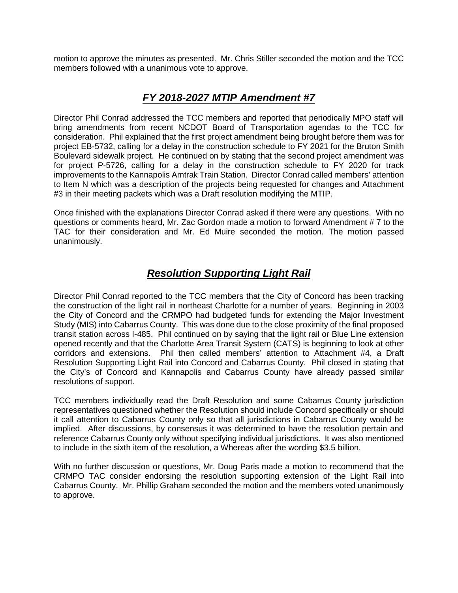motion to approve the minutes as presented. Mr. Chris Stiller seconded the motion and the TCC members followed with a unanimous vote to approve.

## *FY 2018-2027 MTIP Amendment #7*

Director Phil Conrad addressed the TCC members and reported that periodically MPO staff will bring amendments from recent NCDOT Board of Transportation agendas to the TCC for consideration. Phil explained that the first project amendment being brought before them was for project EB-5732, calling for a delay in the construction schedule to FY 2021 for the Bruton Smith Boulevard sidewalk project. He continued on by stating that the second project amendment was for project P-5726, calling for a delay in the construction schedule to FY 2020 for track improvements to the Kannapolis Amtrak Train Station. Director Conrad called members' attention to Item N which was a description of the projects being requested for changes and Attachment #3 in their meeting packets which was a Draft resolution modifying the MTIP.

Once finished with the explanations Director Conrad asked if there were any questions. With no questions or comments heard, Mr. Zac Gordon made a motion to forward Amendment # 7 to the TAC for their consideration and Mr. Ed Muire seconded the motion. The motion passed unanimously.

## *Resolution Supporting Light Rail*

Director Phil Conrad reported to the TCC members that the City of Concord has been tracking the construction of the light rail in northeast Charlotte for a number of years. Beginning in 2003 the City of Concord and the CRMPO had budgeted funds for extending the Major Investment Study (MIS) into Cabarrus County. This was done due to the close proximity of the final proposed transit station across I-485. Phil continued on by saying that the light rail or Blue Line extension opened recently and that the Charlotte Area Transit System (CATS) is beginning to look at other corridors and extensions. Phil then called members' attention to Attachment #4, a Draft Resolution Supporting Light Rail into Concord and Cabarrus County. Phil closed in stating that the City's of Concord and Kannapolis and Cabarrus County have already passed similar resolutions of support.

TCC members individually read the Draft Resolution and some Cabarrus County jurisdiction representatives questioned whether the Resolution should include Concord specifically or should it call attention to Cabarrus County only so that all jurisdictions in Cabarrus County would be implied. After discussions, by consensus it was determined to have the resolution pertain and reference Cabarrus County only without specifying individual jurisdictions. It was also mentioned to include in the sixth item of the resolution, a Whereas after the wording \$3.5 billion.

With no further discussion or questions, Mr. Doug Paris made a motion to recommend that the CRMPO TAC consider endorsing the resolution supporting extension of the Light Rail into Cabarrus County. Mr. Phillip Graham seconded the motion and the members voted unanimously to approve.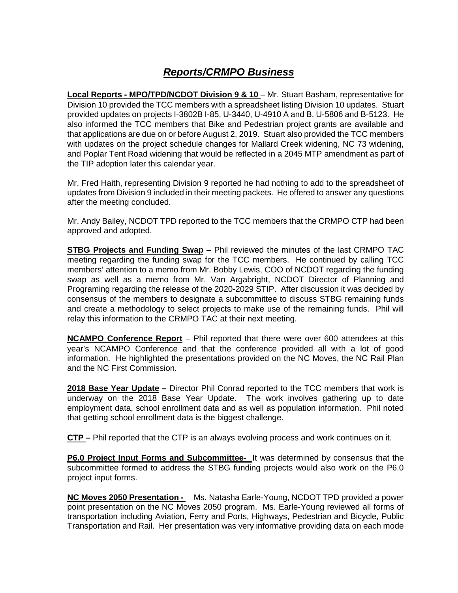# *Reports/CRMPO Business*

**Local Reports - MPO/TPD/NCDOT Division 9 & 10** – Mr. Stuart Basham, representative for Division 10 provided the TCC members with a spreadsheet listing Division 10 updates. Stuart provided updates on projects I-3802B I-85, U-3440, U-4910 A and B, U-5806 and B-5123. He also informed the TCC members that Bike and Pedestrian project grants are available and that applications are due on or before August 2, 2019. Stuart also provided the TCC members with updates on the project schedule changes for Mallard Creek widening, NC 73 widening, and Poplar Tent Road widening that would be reflected in a 2045 MTP amendment as part of the TIP adoption later this calendar year.

Mr. Fred Haith, representing Division 9 reported he had nothing to add to the spreadsheet of updates from Division 9 included in their meeting packets. He offered to answer any questions after the meeting concluded.

Mr. Andy Bailey, NCDOT TPD reported to the TCC members that the CRMPO CTP had been approved and adopted.

**STBG Projects and Funding Swap** – Phil reviewed the minutes of the last CRMPO TAC meeting regarding the funding swap for the TCC members. He continued by calling TCC members' attention to a memo from Mr. Bobby Lewis, COO of NCDOT regarding the funding swap as well as a memo from Mr. Van Argabright, NCDOT Director of Planning and Programing regarding the release of the 2020-2029 STIP. After discussion it was decided by consensus of the members to designate a subcommittee to discuss STBG remaining funds and create a methodology to select projects to make use of the remaining funds. Phil will relay this information to the CRMPO TAC at their next meeting.

**NCAMPO Conference Report** – Phil reported that there were over 600 attendees at this year's NCAMPO Conference and that the conference provided all with a lot of good information. He highlighted the presentations provided on the NC Moves, the NC Rail Plan and the NC First Commission.

**2018 Base Year Update –** Director Phil Conrad reported to the TCC members that work is underway on the 2018 Base Year Update. The work involves gathering up to date employment data, school enrollment data and as well as population information. Phil noted that getting school enrollment data is the biggest challenge.

**CTP –** Phil reported that the CTP is an always evolving process and work continues on it.

**P6.0 Project Input Forms and Subcommittee-** It was determined by consensus that the subcommittee formed to address the STBG funding projects would also work on the P6.0 project input forms.

**NC Moves 2050 Presentation -** Ms. Natasha Earle-Young, NCDOT TPD provided a power point presentation on the NC Moves 2050 program. Ms. Earle-Young reviewed all forms of transportation including Aviation, Ferry and Ports, Highways, Pedestrian and Bicycle, Public Transportation and Rail. Her presentation was very informative providing data on each mode